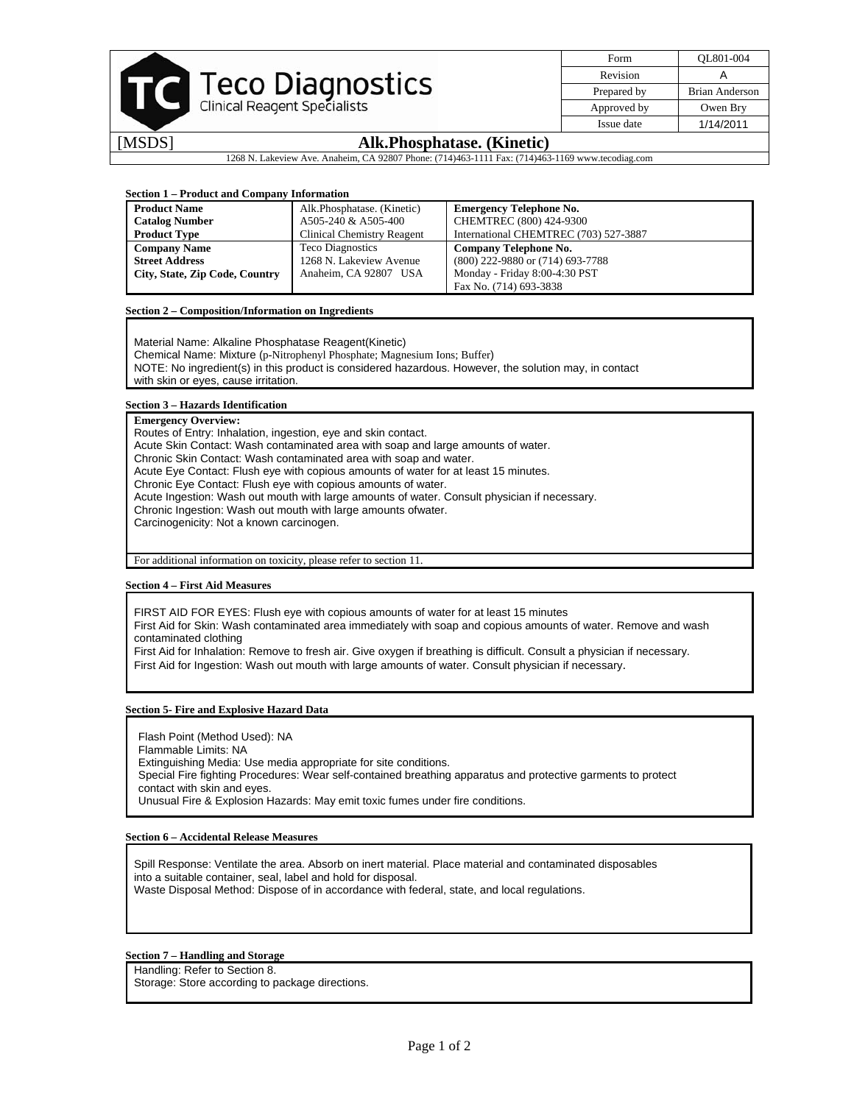| <b>Teco Diagnostics</b><br>Clinical Reagent Specialists |
|---------------------------------------------------------|
| Alk Phosphat                                            |

| Form        | OL801-004      |
|-------------|----------------|
| Revision    | А              |
| Prepared by | Brian Anderson |
| Approved by | Owen Bry       |
| Issue date  | 1/14/2011      |
|             |                |

## **sphatase. (Kinetic)**

1268 N. Lakeview Ave. Anaheim, CA 92807 Phone: (714)463-1111 Fax: (714)463-1169 www.tecodiag.com

## **Section 1 – Product and Company Information**

| <b>Product Name</b>            | Alk.Phosphatase. (Kinetic)        | <b>Emergency Telephone No.</b>        |
|--------------------------------|-----------------------------------|---------------------------------------|
| <b>Catalog Number</b>          | A505-240 & A505-400               | CHEMTREC (800) 424-9300               |
| <b>Product Type</b>            | <b>Clinical Chemistry Reagent</b> | International CHEMTREC (703) 527-3887 |
| <b>Company Name</b>            | <b>Teco Diagnostics</b>           | Company Telephone No.                 |
| <b>Street Address</b>          | 1268 N. Lakeview Avenue           | (800) 222-9880 or (714) 693-7788      |
| City, State, Zip Code, Country | Anaheim, CA 92807 USA             | Monday - Friday 8:00-4:30 PST         |
|                                |                                   | Fax No. (714) 693-3838                |

## **Section 2 – Composition/Information on Ingredients**

Material Name: Alkaline Phosphatase Reagent(Kinetic) Chemical Name: Mixture (p-Nitrophenyl Phosphate; Magnesium Ions; Buffer) NOTE: No ingredient(s) in this product is considered hazardous. However, the solution may, in contact with skin or eyes, cause irritation.

## **Section 3 – Hazards Identification**

**Emergency Overview:**  Routes of Entry: Inhalation, ingestion, eye and skin contact. Acute Skin Contact: Wash contaminated area with soap and large amounts of water. Chronic Skin Contact: Wash contaminated area with soap and water. Acute Eye Contact: Flush eye with copious amounts of water for at least 15 minutes. Chronic Eye Contact: Flush eye with copious amounts of water. Acute Ingestion: Wash out mouth with large amounts of water. Consult physician if necessary. Chronic Ingestion: Wash out mouth with large amounts ofwater. Carcinogenicity: Not a known carcinogen.

For additional information on toxicity, please refer to section 11.

## **Section 4 – First Aid Measures**

FIRST AID FOR EYES: Flush eye with copious amounts of water for at least 15 minutes

First Aid for Skin: Wash contaminated area immediately with soap and copious amounts of water. Remove and wash contaminated clothing

First Aid for Inhalation: Remove to fresh air. Give oxygen if breathing is difficult. Consult a physician if necessary. First Aid for Ingestion: Wash out mouth with large amounts of water. Consult physician if necessary.

## **Section 5- Fire and Explosive Hazard Data**

Flash Point (Method Used): NA Flammable Limits: NA Extinguishing Media: Use media appropriate for site conditions. Special Fire fighting Procedures: Wear self-contained breathing apparatus and protective garments to protect contact with skin and eyes. Unusual Fire & Explosion Hazards: May emit toxic fumes under fire conditions.

## **Section 6 – Accidental Release Measures**

Spill Response: Ventilate the area. Absorb on inert material. Place material and contaminated disposables into a suitable container, seal, label and hold for disposal. Waste Disposal Method: Dispose of in accordance with federal, state, and local regulations.

## **Section 7 – Handling and Storage**

Handling: Refer to Section 8.

Storage: Store according to package directions.